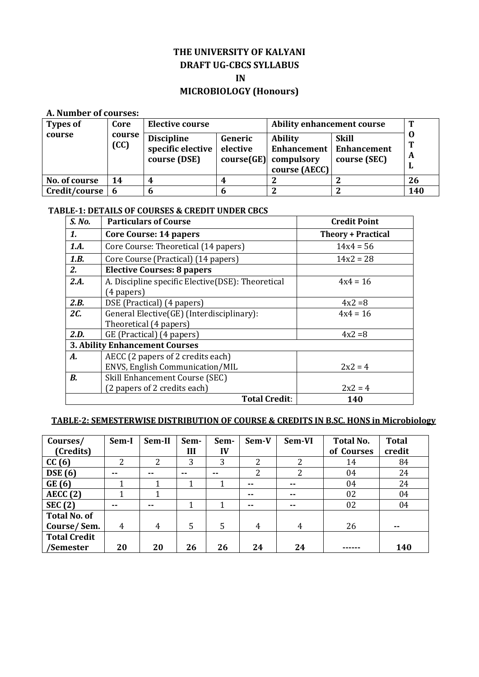# **THE UNIVERSITY OF KALYANI DRAFT UG-CBCS SYLLABUS IN**

## **MICROBIOLOGY (Honours)**

## **A. Number of courses:**

| <b>Types of</b> | Core           | <b>Elective course</b>                                 |                     | <b>Ability enhancement course</b>                          |                                                           | Т           |
|-----------------|----------------|--------------------------------------------------------|---------------------|------------------------------------------------------------|-----------------------------------------------------------|-------------|
| course          | course<br>(CC) | <b>Discipline</b><br>specific elective<br>course (DSE) | Generic<br>elective | <b>Ability</b><br>$course(GE)$ compulsory<br>course (AECC) | <b>Skill</b><br>Enhancement   Enhancement<br>course (SEC) | Т<br>A<br>ш |
| No. of course   | 14             |                                                        |                     |                                                            |                                                           | 26          |
| Credit/course   | 6              | n                                                      |                     |                                                            |                                                           | 140         |

## **TABLE-1: DETAILS OF COURSES & CREDIT UNDER CBCS**

| S. No. | <b>Particulars of Course</b>                      | <b>Credit Point</b>       |  |  |  |
|--------|---------------------------------------------------|---------------------------|--|--|--|
| 1.     | Core Course: 14 papers                            | <b>Theory + Practical</b> |  |  |  |
| 1.A.   | Core Course: Theoretical (14 papers)              | $14x4 = 56$               |  |  |  |
| 1.B.   | Core Course (Practical) (14 papers)               | $14x2 = 28$               |  |  |  |
| 2.     | <b>Elective Courses: 8 papers</b>                 |                           |  |  |  |
| 2.A.   | A. Discipline specific Elective(DSE): Theoretical | $4x4 = 16$                |  |  |  |
|        | (4 papers)                                        |                           |  |  |  |
| 2.B.   | DSE (Practical) (4 papers)                        | $4x^2 = 8$                |  |  |  |
| 2C.    | General Elective(GE) (Interdisciplinary):         | $4x4 = 16$                |  |  |  |
|        | Theoretical (4 papers)                            |                           |  |  |  |
| 2.D.   | GE (Practical) (4 papers)                         | $4x^2 = 8$                |  |  |  |
|        | <b>3. Ability Enhancement Courses</b>             |                           |  |  |  |
| А.     | AECC (2 papers of 2 credits each)                 |                           |  |  |  |
|        | ENVS, English Communication/MIL                   | $2x^2 = 4$                |  |  |  |
| В.     | Skill Enhancement Course (SEC)                    |                           |  |  |  |
|        | (2 papers of 2 credits each)                      | $2x^2 = 4$                |  |  |  |
|        | <b>Total Credit:</b>                              | 140                       |  |  |  |

## **TABLE-2: SEMESTERWISE DISTRIBUTION OF COURSE & CREDITS IN B.SC. HONS in Microbiology**

| Courses/<br>(Credits) | Sem-I | Sem-II         | Sem-<br>Ш | Sem-<br>IV | Sem-V | Sem-VI        | <b>Total No.</b><br>of Courses | <b>Total</b><br>credit |
|-----------------------|-------|----------------|-----------|------------|-------|---------------|--------------------------------|------------------------|
| CC(6)                 | າ     | 2              | 3         | 3          | 2     | 2             | 14                             | 84                     |
| <b>DSE</b> (6)        | --    | $-$            | $-$       | $-$        | 2     | 2             | 04                             | 24                     |
| GE(6)                 |       |                |           |            | $-$   | $- -$         | 04                             | 24                     |
| AECC(2)               |       |                |           |            | --    | $\sim$ $\sim$ | 02                             | 04                     |
| <b>SEC (2)</b>        | --    | $-$            |           |            | --    | $- -$         | 02                             | 04                     |
| <b>Total No. of</b>   |       |                |           |            |       |               |                                |                        |
| Course/Sem.           | 4     | $\overline{4}$ | 5         | 5          | 4     | 4             | 26                             | $- -$                  |
| <b>Total Credit</b>   |       |                |           |            |       |               |                                |                        |
| /Semester             | 20    | 20             | 26        | 26         | 24    | 24            |                                | <b>140</b>             |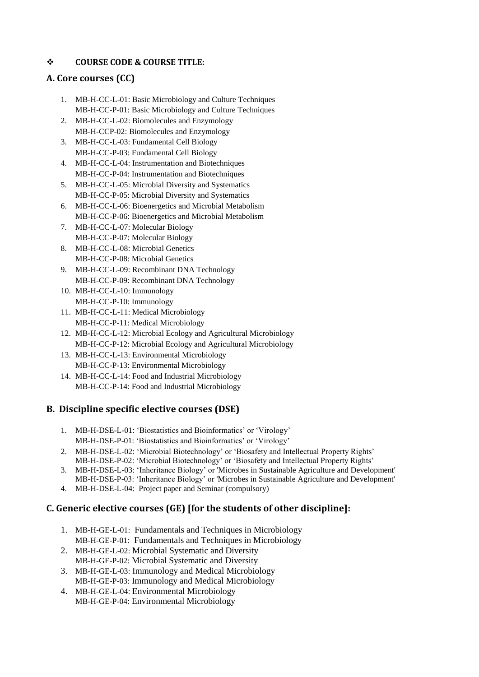## **COURSE CODE & COURSE TITLE:**

## **A. Core courses (CC)**

- 1. MB-H-CC-L-01: Basic Microbiology and Culture Techniques MB-H-CC-P-01: Basic Microbiology and Culture Techniques
- 2. MB-H-CC-L-02: Biomolecules and Enzymology MB-H-CCP-02: Biomolecules and Enzymology
- 3. MB-H-CC-L-03: Fundamental Cell Biology MB-H-CC-P-03: Fundamental Cell Biology
- 4. MB-H-CC-L-04: Instrumentation and Biotechniques MB-H-CC-P-04: Instrumentation and Biotechniques
- 5. MB-H-CC-L-05: Microbial Diversity and Systematics MB-H-CC-P-05: Microbial Diversity and Systematics
- 6. MB-H-CC-L-06: Bioenergetics and Microbial Metabolism MB-H-CC-P-06: Bioenergetics and Microbial Metabolism
- 7. MB-H-CC-L-07: Molecular Biology MB-H-CC-P-07: Molecular Biology
- 8. MB-H-CC-L-08: Microbial Genetics MB-H-CC-P-08: Microbial Genetics
- 9. MB-H-CC-L-09: Recombinant DNA Technology MB-H-CC-P-09: Recombinant DNA Technology
- 10. MB-H-CC-L-10: Immunology MB-H-CC-P-10: Immunology
- 11. MB-H-CC-L-11: Medical Microbiology MB-H-CC-P-11: Medical Microbiology
- 12. MB-H-CC-L-12: Microbial Ecology and Agricultural Microbiology MB-H-CC-P-12: Microbial Ecology and Agricultural Microbiology
- 13. MB-H-CC-L-13: Environmental Microbiology MB-H-CC-P-13: Environmental Microbiology
- 14. MB-H-CC-L-14: Food and Industrial Microbiology MB-H-CC-P-14: Food and Industrial Microbiology

## **B. Discipline specific elective courses (DSE)**

- 1. MB-H-DSE-L-01: 'Biostatistics and Bioinformatics' or 'Virology' MB-H-DSE-P-01: 'Biostatistics and Bioinformatics' or 'Virology'
- 2. MB-H-DSE-L-02: 'Microbial Biotechnology' or 'Biosafety and Intellectual Property Rights' MB-H-DSE-P-02: 'Microbial Biotechnology' or 'Biosafety and Intellectual Property Rights'
- 3. MB-H-DSE-L-03: 'Inheritance Biology' or 'Microbes in Sustainable Agriculture and Development' MB-H-DSE-P-03: 'Inheritance Biology' or 'Microbes in Sustainable Agriculture and Development'
- 4. MB-H-DSE-L-04: Project paper and Seminar (compulsory)

## **C. Generic elective courses (GE) [for the students of other discipline]:**

- 1. MB-H-GE-L-01: Fundamentals and Techniques in Microbiology MB-H-GE-P-01: Fundamentals and Techniques in Microbiology
- 2. MB-H-GE-L-02: Microbial Systematic and Diversity MB-H-GE-P-02: Microbial Systematic and Diversity
- 3. MB-H-GE-L-03: Immunology and Medical Microbiology MB-H-GE-P-03: Immunology and Medical Microbiology
- 4. MB-H-GE-L-04: Environmental Microbiology MB-H-GE-P-04: Environmental Microbiology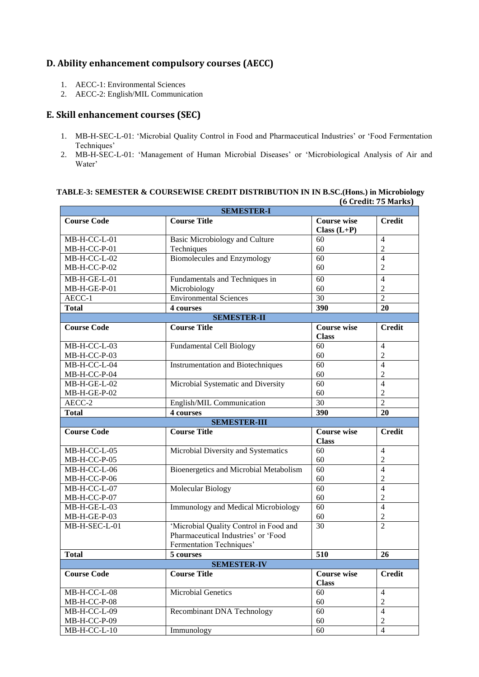## **D. Ability enhancement compulsory courses (AECC)**

- 1. AECC-1: Environmental Sciences
- 2. AECC-2: English/MIL Communication

## **E. Skill enhancement courses (SEC)**

- 1. MB-H-SEC-L-01: 'Microbial Quality Control in Food and Pharmaceutical Industries' or 'Food Fermentation Techniques'
- 2. MB-H-SEC-L-01: 'Management of Human Microbial Diseases' or 'Microbiological Analysis of Air and Water'

#### **TABLE-3: SEMESTER & COURSEWISE CREDIT DISTRIBUTION IN IN B.SC.(Hons.) in Microbiology (6 Credit: 75 Marks)**

| $\sigma$ or cannot be realized<br><b>SEMESTER-I</b> |                                            |                                     |                                  |  |  |  |  |
|-----------------------------------------------------|--------------------------------------------|-------------------------------------|----------------------------------|--|--|--|--|
| <b>Course Code</b>                                  | <b>Course Title</b>                        | <b>Course wise</b><br>Class $(L+P)$ | <b>Credit</b>                    |  |  |  |  |
| MB-H-CC-L-01                                        | <b>Basic Microbiology and Culture</b>      | 60                                  | 4                                |  |  |  |  |
| MB-H-CC-P-01                                        | Techniques                                 | 60                                  | $\overline{2}$                   |  |  |  |  |
| MB-H-CC-L-02                                        | <b>Biomolecules and Enzymology</b>         | 60                                  | $\overline{4}$                   |  |  |  |  |
| MB-H-CC-P-02                                        |                                            | 60                                  | $\overline{2}$                   |  |  |  |  |
| MB-H-GE-L-01                                        | Fundamentals and Techniques in             | 60                                  | $\overline{4}$                   |  |  |  |  |
| MB-H-GE-P-01                                        | Microbiology                               | 60                                  | $\overline{2}$                   |  |  |  |  |
| AECC-1                                              | <b>Environmental Sciences</b>              | $\overline{30}$                     | $\overline{2}$                   |  |  |  |  |
| <b>Total</b>                                        | 4 courses                                  | 390                                 | 20                               |  |  |  |  |
|                                                     | <b>SEMESTER-II</b>                         |                                     |                                  |  |  |  |  |
| <b>Course Code</b><br><b>Course Title</b>           |                                            | <b>Course wise</b>                  | <b>Credit</b>                    |  |  |  |  |
|                                                     |                                            | <b>Class</b>                        |                                  |  |  |  |  |
| MB-H-CC-L-03                                        | <b>Fundamental Cell Biology</b>            | 60                                  | 4                                |  |  |  |  |
| MB-H-CC-P-03                                        |                                            | 60                                  | $\overline{2}$                   |  |  |  |  |
| MB-H-CC-L-04                                        | <b>Instrumentation and Biotechniques</b>   | 60                                  | $\overline{4}$                   |  |  |  |  |
| MB-H-CC-P-04                                        |                                            | 60                                  | $\overline{2}$                   |  |  |  |  |
| MB-H-GE-L-02                                        | Microbial Systematic and Diversity         | 60                                  | $\overline{4}$                   |  |  |  |  |
| MB-H-GE-P-02                                        |                                            | 60                                  | $\overline{2}$                   |  |  |  |  |
| AECC-2                                              | English/MIL Communication                  | 30                                  | $\overline{2}$                   |  |  |  |  |
| <b>Total</b>                                        | 4 courses                                  | 390                                 | 20                               |  |  |  |  |
| <b>SEMESTER-III</b>                                 |                                            |                                     |                                  |  |  |  |  |
|                                                     |                                            |                                     |                                  |  |  |  |  |
| <b>Course Code</b>                                  | <b>Course Title</b>                        | <b>Course wise</b><br><b>Class</b>  | <b>Credit</b>                    |  |  |  |  |
| MB-H-CC-L-05                                        | Microbial Diversity and Systematics        | 60                                  | 4                                |  |  |  |  |
| MB-H-CC-P-05                                        |                                            | 60                                  | $\mathfrak{2}$                   |  |  |  |  |
| MB-H-CC-L-06                                        | Bioenergetics and Microbial Metabolism     | 60                                  | $\overline{4}$                   |  |  |  |  |
| MB-H-CC-P-06                                        |                                            | 60                                  | $\overline{c}$                   |  |  |  |  |
| MB-H-CC-L-07                                        | <b>Molecular Biology</b>                   | 60                                  | $\overline{4}$                   |  |  |  |  |
| MB-H-CC-P-07                                        |                                            | 60                                  | $\overline{2}$                   |  |  |  |  |
| MB-H-GE-L-03                                        | <b>Immunology and Medical Microbiology</b> | 60                                  | $\overline{4}$                   |  |  |  |  |
| MB-H-GE-P-03                                        |                                            | 60                                  | $\overline{c}$                   |  |  |  |  |
| MB-H-SEC-L-01                                       | 'Microbial Quality Control in Food and     | 30                                  | $\overline{2}$                   |  |  |  |  |
|                                                     | Pharmaceutical Industries' or 'Food        |                                     |                                  |  |  |  |  |
|                                                     | Fermentation Techniques'                   |                                     |                                  |  |  |  |  |
| <b>Total</b>                                        | 5 courses                                  | 510                                 | 26                               |  |  |  |  |
|                                                     | <b>SEMESTER-IV</b>                         |                                     |                                  |  |  |  |  |
| <b>Course Code</b>                                  | <b>Course Title</b>                        | <b>Course wise</b><br><b>Class</b>  | <b>Credit</b>                    |  |  |  |  |
| MB-H-CC-L-08                                        | <b>Microbial Genetics</b>                  | 60                                  | $\overline{4}$                   |  |  |  |  |
| MB-H-CC-P-08                                        |                                            | 60                                  | $\sqrt{2}$                       |  |  |  |  |
| $MB-H-CC-L-09$                                      | <b>Recombinant DNA Technology</b>          | 60                                  | $\overline{4}$                   |  |  |  |  |
| MB-H-CC-P-09<br>$MB-H-CC-L-10$                      | Immunology                                 | 60<br>60                            | $\overline{2}$<br>$\overline{4}$ |  |  |  |  |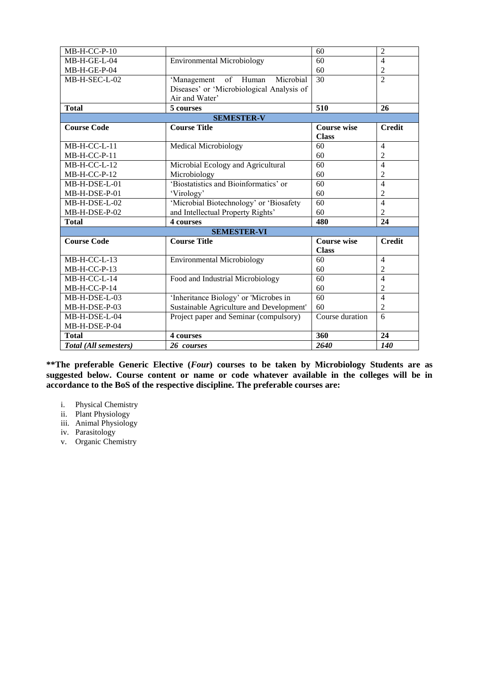| MB-H-CC-P-10          |                                           | 60                 | $\overline{2}$ |  |  |  |
|-----------------------|-------------------------------------------|--------------------|----------------|--|--|--|
| MB-H-GE-L-04          | <b>Environmental Microbiology</b>         | 60                 | $\overline{4}$ |  |  |  |
| MB-H-GE-P-04          |                                           | 60                 | $\overline{2}$ |  |  |  |
| MB-H-SEC-L-02         | 'Management of Human<br>Microbial         | 30                 | $\overline{2}$ |  |  |  |
|                       | Diseases' or 'Microbiological Analysis of |                    |                |  |  |  |
|                       | Air and Water'                            |                    |                |  |  |  |
| <b>Total</b>          | 5 courses                                 | 510                | 26             |  |  |  |
|                       | <b>SEMESTER-V</b>                         |                    |                |  |  |  |
| <b>Course Code</b>    | <b>Course Title</b>                       | <b>Course wise</b> | <b>Credit</b>  |  |  |  |
|                       |                                           | <b>Class</b>       |                |  |  |  |
| MB-H-CC-L-11          | <b>Medical Microbiology</b>               | 60                 | $\overline{4}$ |  |  |  |
| MB-H-CC-P-11          |                                           | 60                 | $\overline{2}$ |  |  |  |
| MB-H-CC-L-12          | Microbial Ecology and Agricultural        | 60                 | 4              |  |  |  |
| MB-H-CC-P-12          | Microbiology                              | 60                 | 2              |  |  |  |
| MB-H-DSE-L-01         | 'Biostatistics and Bioinformatics' or     | 60                 | $\overline{4}$ |  |  |  |
| MB-H-DSE-P-01         | 'Virology'                                | 60                 | $\mathfrak{2}$ |  |  |  |
| MB-H-DSE-L-02         | 'Microbial Biotechnology' or 'Biosafety   | 60                 | $\overline{4}$ |  |  |  |
| MB-H-DSE-P-02         | and Intellectual Property Rights'         | 60                 | $\overline{2}$ |  |  |  |
| <b>Total</b>          | 4 courses                                 | 480                | 24             |  |  |  |
| <b>SEMESTER-VI</b>    |                                           |                    |                |  |  |  |
| <b>Course Code</b>    | <b>Course Title</b>                       | <b>Course wise</b> | <b>Credit</b>  |  |  |  |
|                       |                                           | <b>Class</b>       |                |  |  |  |
| $MB-H-CC-L-13$        | <b>Environmental Microbiology</b>         | 60                 | $\overline{4}$ |  |  |  |
| MB-H-CC-P-13          |                                           | 60                 | 2              |  |  |  |
| MB-H-CC-L-14          | Food and Industrial Microbiology          | 60                 | $\overline{4}$ |  |  |  |
| MB-H-CC-P-14          |                                           | 60                 | 2              |  |  |  |
| MB-H-DSE-L-03         | 'Inheritance Biology' or 'Microbes in     | 60                 | $\overline{4}$ |  |  |  |
| MB-H-DSE-P-03         | Sustainable Agriculture and Development'  | 60                 | $\overline{c}$ |  |  |  |
| MB-H-DSE-L-04         | Project paper and Seminar (compulsory)    | Course duration    | 6              |  |  |  |
| MB-H-DSE-P-04         |                                           |                    |                |  |  |  |
| <b>Total</b>          | 4 courses                                 | 360                | 24             |  |  |  |
| Total (All semesters) | 26 courses                                | 2640               | 140            |  |  |  |

**\*\*The preferable Generic Elective (***Four***) courses to be taken by Microbiology Students are as**  suggested below. Course content or name or code whatever available in the colleges will be in **accordance to the BoS of the respective discipline. The preferable courses are:**

- i. Physical Chemistry
- ii. Plant Physiology
- iii. Animal Physiology
- iv. Parasitology
- v. Organic Chemistry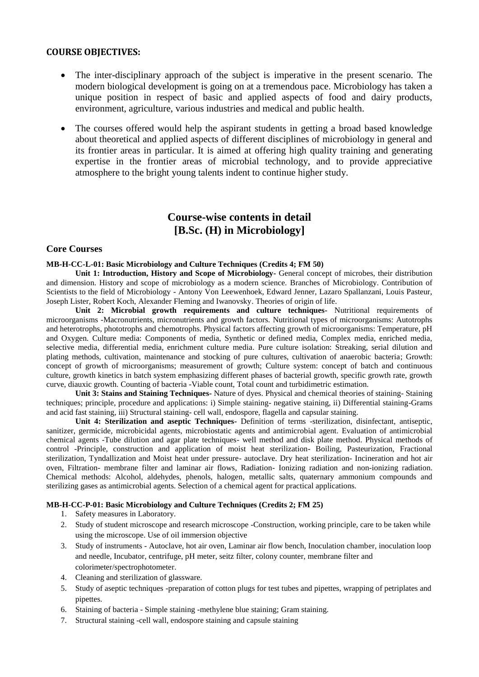## **COURSE OBJECTIVES:**

- The inter-disciplinary approach of the subject is imperative in the present scenario. The modern biological development is going on at a tremendous pace. Microbiology has taken a unique position in respect of basic and applied aspects of food and dairy products, environment, agriculture, various industries and medical and public health.
- The courses offered would help the aspirant students in getting a broad based knowledge about theoretical and applied aspects of different disciplines of microbiology in general and its frontier areas in particular. It is aimed at offering high quality training and generating expertise in the frontier areas of microbial technology, and to provide appreciative atmosphere to the bright young talents indent to continue higher study.

## **Course-wise contents in detail [B.Sc. (H) in Microbiology]**

## **Core Courses**

#### **MB-H-CC-L-01: Basic Microbiology and Culture Techniques (Credits 4; FM 50)**

**Unit 1: Introduction, History and Scope of Microbiology-** General concept of microbes, their distribution and dimension. History and scope of microbiology as a modern science. Branches of Microbiology. Contribution of Scientists to the field of Microbiology - Antony Von Leewenhoek, Edward Jenner, Lazaro Spallanzani, Louis Pasteur, Joseph Lister, Robert Koch, Alexander Fleming and Iwanovsky. Theories of origin of life.

**Unit 2: Microbial growth requirements and culture techniques-** Nutritional requirements of microorganisms -Macronutrients, micronutrients and growth factors. Nutritional types of microorganisms: Autotrophs and heterotrophs, phototrophs and chemotrophs. Physical factors affecting growth of microorganisms: Temperature, pH and Oxygen. Culture media: Components of media, Synthetic or defined media, Complex media, enriched media, selective media, differential media, enrichment culture media. Pure culture isolation: Streaking, serial dilution and plating methods, cultivation, maintenance and stocking of pure cultures, cultivation of anaerobic bacteria; Growth: concept of growth of microorganisms; measurement of growth; Culture system: concept of batch and continuous culture, growth kinetics in batch system emphasizing different phases of bacterial growth, specific growth rate, growth curve, diauxic growth. Counting of bacteria -Viable count, Total count and turbidimetric estimation.

**Unit 3: Stains and Staining Techniques-** Nature of dyes. Physical and chemical theories of staining- Staining techniques; principle, procedure and applications: i) Simple staining- negative staining, ii) Differential staining-Grams and acid fast staining, iii) Structural staining- cell wall, endospore, flagella and capsular staining.

**Unit 4: Sterilization and aseptic Techniques-** Definition of terms -sterilization, disinfectant, antiseptic, sanitizer, germicide, microbicidal agents, microbiostatic agents and antimicrobial agent. Evaluation of antimicrobial chemical agents -Tube dilution and agar plate techniques- well method and disk plate method. Physical methods of control -Principle, construction and application of moist heat sterilization- Boiling, Pasteurization, Fractional sterilization, Tyndallization and Moist heat under pressure- autoclave. Dry heat sterilization- Incineration and hot air oven, Filtration- membrane filter and laminar air flows, Radiation- Ionizing radiation and non-ionizing radiation. Chemical methods: Alcohol, aldehydes, phenols, halogen, metallic salts, quaternary ammonium compounds and sterilizing gases as antimicrobial agents. Selection of a chemical agent for practical applications.

## **MB-H-CC-P-01: Basic Microbiology and Culture Techniques (Credits 2; FM 25)**

- 1. Safety measures in Laboratory.
- 2. Study of student microscope and research microscope -Construction, working principle, care to be taken while using the microscope. Use of oil immersion objective
- 3. Study of instruments Autoclave, hot air oven, Laminar air flow bench, Inoculation chamber, inoculation loop and needle, Incubator, centrifuge, pH meter, seitz filter, colony counter, membrane filter and colorimeter/spectrophotometer.
- 4. Cleaning and sterilization of glassware.
- 5. Study of aseptic techniques -preparation of cotton plugs for test tubes and pipettes, wrapping of petriplates and pipettes.
- 6. Staining of bacteria Simple staining -methylene blue staining; Gram staining.
- 7. Structural staining -cell wall, endospore staining and capsule staining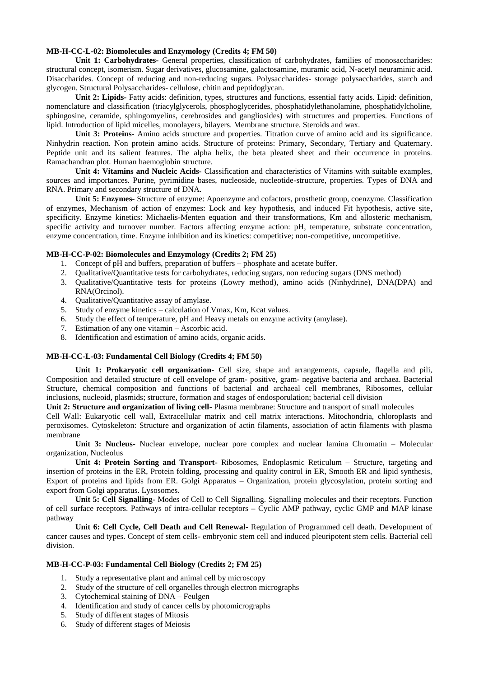#### **MB-H-CC-L-02: Biomolecules and Enzymology (Credits 4; FM 50)**

**Unit 1: Carbohydrates-** General properties, classification of carbohydrates, families of monosaccharides: structural concept, isomerism. Sugar derivatives, glucosamine, galactosamine, muramic acid, N-acetyl neuraminic acid. Disaccharides. Concept of reducing and non-reducing sugars. Polysaccharides- storage polysaccharides, starch and glycogen. Structural Polysaccharides- cellulose, chitin and peptidoglycan.

**Unit 2: Lipids-** Fatty acids: definition, types, structures and functions, essential fatty acids. Lipid: definition, nomenclature and classification (triacylglycerols, phosphoglycerides, phosphatidylethanolamine, phosphatidylcholine, sphingosine, ceramide, sphingomyelins, cerebrosides and gangliosides) with structures and properties. Functions of lipid. Introduction of lipid micelles, monolayers, bilayers. Membrane structure. Steroids and wax.

**Unit 3: Proteins-** Amino acids structure and properties. Titration curve of amino acid and its significance. Ninhydrin reaction. Non protein amino acids. Structure of proteins: Primary, Secondary, Tertiary and Quaternary. Peptide unit and its salient features. The alpha helix, the beta pleated sheet and their occurrence in proteins. Ramachandran plot. Human haemoglobin structure.

**Unit 4: Vitamins and Nucleic Acids-** Classification and characteristics of Vitamins with suitable examples, sources and importances. Purine, pyrimidine bases, nucleoside, nucleotide-structure, properties. Types of DNA and RNA. Primary and secondary structure of DNA.

**Unit 5: Enzymes-** Structure of enzyme: Apoenzyme and cofactors, prosthetic group, coenzyme. Classification of enzymes, Mechanism of action of enzymes: Lock and key hypothesis, and induced Fit hypothesis, active site, specificity. Enzyme kinetics: Michaelis-Menten equation and their transformations, Km and allosteric mechanism, specific activity and turnover number. Factors affecting enzyme action: pH, temperature, substrate concentration, enzyme concentration, time. Enzyme inhibition and its kinetics: competitive; non-competitive, uncompetitive.

#### **MB-H-CC-P-02: Biomolecules and Enzymology (Credits 2; FM 25)**

- 1. Concept of pH and buffers, preparation of buffers phosphate and acetate buffer.
- 2. Qualitative/Quantitative tests for carbohydrates, reducing sugars, non reducing sugars (DNS method)
- 3. Qualitative/Quantitative tests for proteins (Lowry method), amino acids (Ninhydrine), DNA(DPA) and RNA(Orcinol).
- 4. Qualitative/Quantitative assay of amylase.
- 5. Study of enzyme kinetics calculation of Vmax, Km, Kcat values.
- 6. Study the effect of temperature, pH and Heavy metals on enzyme activity (amylase).
- 7. Estimation of any one vitamin Ascorbic acid.
- 8. Identification and estimation of amino acids, organic acids.

### **MB-H-CC-L-03: Fundamental Cell Biology (Credits 4; FM 50)**

**Unit 1: Prokaryotic cell organization-** Cell size, shape and arrangements, capsule, flagella and pili, Composition and detailed structure of cell envelope of gram- positive, gram- negative bacteria and archaea. Bacterial Structure, chemical composition and functions of bacterial and archaeal cell membranes, Ribosomes, cellular inclusions, nucleoid, plasmids; structure, formation and stages of endosporulation; bacterial cell division

**Unit 2: Structure and organization of living cell-** Plasma membrane: Structure and transport of small molecules

Cell Wall: Eukaryotic cell wall, Extracellular matrix and cell matrix interactions. Mitochondria, chloroplasts and peroxisomes. Cytoskeleton: Structure and organization of actin filaments, association of actin filaments with plasma membrane

**Unit 3: Nucleus-** Nuclear envelope, nuclear pore complex and nuclear lamina Chromatin – Molecular organization, Nucleolus

**Unit 4: Protein Sorting and Transport-** Ribosomes, Endoplasmic Reticulum – Structure, targeting and insertion of proteins in the ER, Protein folding, processing and quality control in ER, Smooth ER and lipid synthesis, Export of proteins and lipids from ER. Golgi Apparatus – Organization, protein glycosylation, protein sorting and export from Golgi apparatus. Lysosomes.

**Unit 5: Cell Signalling-** Modes of Cell to Cell Signalling. Signalling molecules and their receptors. Function of cell surface receptors. Pathways of intra-cellular receptors **–** Cyclic AMP pathway, cyclic GMP and MAP kinase pathway

**Unit 6: Cell Cycle, Cell Death and Cell Renewal-** Regulation of Programmed cell death. Development of cancer causes and types. Concept of stem cells- embryonic stem cell and induced pleuripotent stem cells. Bacterial cell division.

## **MB-H-CC-P-03: Fundamental Cell Biology (Credits 2; FM 25)**

- 1. Study a representative plant and animal cell by microscopy
- 2. Study of the structure of cell organelles through electron micrographs
- 3. Cytochemical staining of DNA Feulgen
- 4. Identification and study of cancer cells by photomicrographs
- 5. Study of different stages of Mitosis
- 6. Study of different stages of Meiosis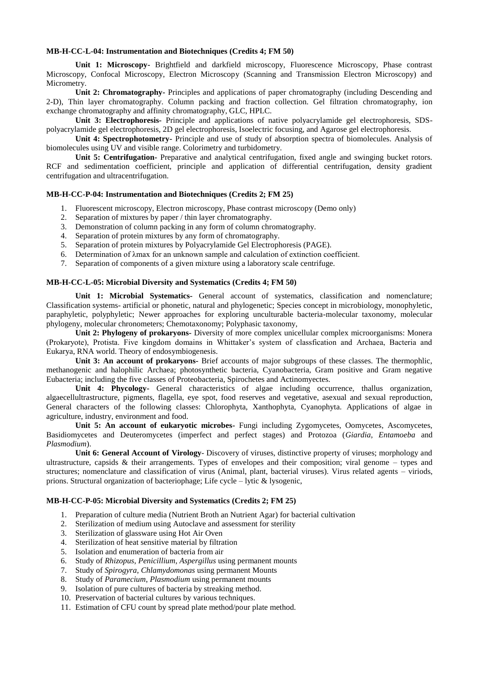#### **MB-H-CC-L-04: Instrumentation and Biotechniques (Credits 4; FM 50)**

**Unit 1: Microscopy-** Brightfield and darkfield microscopy, Fluorescence Microscopy, Phase contrast Microscopy, Confocal Microscopy, Electron Microscopy (Scanning and Transmission Electron Microscopy) and Micrometry.

**Unit 2: Chromatography-** Principles and applications of paper chromatography (including Descending and 2-D), Thin layer chromatography. Column packing and fraction collection. Gel filtration chromatography, ion exchange chromatography and affinity chromatography, GLC, HPLC.

**Unit 3: Electrophoresis-** Principle and applications of native polyacrylamide gel electrophoresis, SDSpolyacrylamide gel electrophoresis, 2D gel electrophoresis, Isoelectric focusing, and Agarose gel electrophoresis.

**Unit 4: Spectrophotometry-** Principle and use of study of absorption spectra of biomolecules. Analysis of biomolecules using UV and visible range. Colorimetry and turbidometry.

**Unit 5: Centrifugation-** Preparative and analytical centrifugation, fixed angle and swinging bucket rotors. RCF and sedimentation coefficient, principle and application of differential centrifugation, density gradient centrifugation and ultracentrifugation.

### **MB-H-CC-P-04: Instrumentation and Biotechniques (Credits 2; FM 25)**

- 1. Fluorescent microscopy, Electron microscopy, Phase contrast microscopy (Demo only)
- 2. Separation of mixtures by paper / thin layer chromatography.
- 3. Demonstration of column packing in any form of column chromatography.
- 4. Separation of protein mixtures by any form of chromatography.
- 5. Separation of protein mixtures by Polyacrylamide Gel Electrophoresis (PAGE).
- 6. Determination of λmax for an unknown sample and calculation of extinction coefficient.
- 7. Separation of components of a given mixture using a laboratory scale centrifuge.

#### **MB-H-CC-L-05: Microbial Diversity and Systematics (Credits 4; FM 50)**

**Unit 1: Microbial Systematics-** General account of systematics, classification and nomenclature; Classification systems- artificial or phonetic, natural and phylogenetic; Species concept in microbiology, monophyletic, paraphyletic, polyphyletic; Newer approaches for exploring unculturable bacteria-molecular taxonomy, molecular phylogeny, molecular chronometers; Chemotaxonomy; Polyphasic taxonomy,

**Unit 2: Phylogeny of prokaryons-** Diversity of more complex unicellular complex microorganisms: Monera (Prokaryote), Protista. Five kingdom domains in Whittaker's system of classfication and Archaea, Bacteria and Eukarya, RNA world. Theory of endosymbiogenesis.

**Unit 3: An account of prokaryons-** Brief accounts of major subgroups of these classes. The thermophlic, methanogenic and halophilic Archaea; photosynthetic bacteria, Cyanobacteria, Gram positive and Gram negative Eubacteria; including the five classes of Proteobacteria, Spirochetes and Actinomyectes.

**Unit 4: Phycology-** General characteristics of algae including occurrence, thallus organization, algaecellultrastructure, pigments, flagella, eye spot, food reserves and vegetative, asexual and sexual reproduction, General characters of the following classes: Chlorophyta, Xanthophyta, Cyanophyta. Applications of algae in agriculture, industry, environment and food.

**Unit 5: An account of eukaryotic microbes-** Fungi including Zygomycetes, Oomycetes, Ascomycetes, Basidiomycetes and Deuteromycetes (imperfect and perfect stages) and Protozoa (*Giardia*, *Entamoeba* and *Plasmodium*).

**Unit 6: General Account of Virology**- Discovery of viruses, distinctive property of viruses; morphology and ultrastructure, capsids & their arrangements. Types of envelopes and their composition; viral genome – types and structures; nomenclature and classification of virus (Animal, plant, bacterial viruses). Virus related agents – viriods, prions. Structural organization of bacteriophage; Life cycle – lytic & lysogenic,

#### **MB-H-CC-P-05: Microbial Diversity and Systematics (Credits 2; FM 25)**

- 1. Preparation of culture media (Nutrient Broth an Nutrient Agar) for bacterial cultivation
- 2. Sterilization of medium using Autoclave and assessment for sterility
- 3. Sterilization of glassware using Hot Air Oven
- 4. Sterilization of heat sensitive material by filtration
- 5. Isolation and enumeration of bacteria from air
- 6. Study of *Rhizopus*, *Penicillium*, *Aspergillus* using permanent mounts
- 7. Study of *Spirogyra*, *Chlamydomonas* using permanent Mounts
- 8. Study of *Paramecium*, *Plasmodium* using permanent mounts
- 9. Isolation of pure cultures of bacteria by streaking method.
- 10. Preservation of bacterial cultures by various techniques.
- 11. Estimation of CFU count by spread plate method/pour plate method.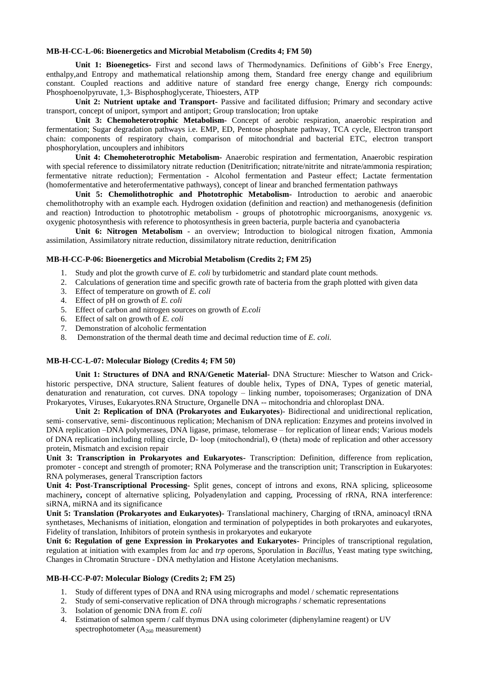#### **MB-H-CC-L-06: Bioenergetics and Microbial Metabolism (Credits 4; FM 50)**

**Unit 1: Bioenegetics-** First and second laws of Thermodynamics. Definitions of Gibb's Free Energy, enthalpy,and Entropy and mathematical relationship among them, Standard free energy change and equilibrium constant. Coupled reactions and additive nature of standard free energy change, Energy rich compounds: Phosphoenolpyruvate, 1,3- Bisphosphoglycerate, Thioesters, ATP

**Unit 2: Nutrient uptake and Transport-** Passive and facilitated diffusion; Primary and secondary active transport, concept of uniport, symport and antiport; Group translocation; Iron uptake

**Unit 3: Chemoheterotrophic Metabolism-** Concept of aerobic respiration, anaerobic respiration and fermentation; Sugar degradation pathways i.e. EMP, ED, Pentose phosphate pathway, TCA cycle, Electron transport chain: components of respiratory chain, comparison of mitochondrial and bacterial ETC, electron transport phosphorylation, uncouplers and inhibitors

**Unit 4: Chemoheterotrophic Metabolism-** Anaerobic respiration and fermentation, Anaerobic respiration with special reference to dissimilatory nitrate reduction (Denitrification; nitrate/nitrite and nitrate/ammonia respiration; fermentative nitrate reduction); Fermentation - Alcohol fermentation and Pasteur effect; Lactate fermentation (homofermentative and heterofermentative pathways), concept of linear and branched fermentation pathways

**Unit 5: Chemolithotrophic and Phototrophic Metabolism-** Introduction to aerobic and anaerobic chemolithotrophy with an example each. Hydrogen oxidation (definition and reaction) and methanogenesis (definition and reaction) Introduction to phototrophic metabolism - groups of phototrophic microorganisms, anoxygenic *vs.*  oxygenic photosynthesis with reference to photosynthesis in green bacteria, purple bacteria and cyanobacteria

**Unit 6: Nitrogen Metabolism** - an overview; Introduction to biological nitrogen fixation, Ammonia assimilation, Assimilatory nitrate reduction, dissimilatory nitrate reduction, denitrification

#### **MB-H-CC-P-06: Bioenergetics and Microbial Metabolism (Credits 2; FM 25)**

- 1. Study and plot the growth curve of *E. coli* by turbidometric and standard plate count methods.
- 2. Calculations of generation time and specific growth rate of bacteria from the graph plotted with given data
- 3. Effect of temperature on growth of *E. coli*
- 4. Effect of pH on growth of *E. coli*
- 5. Effect of carbon and nitrogen sources on growth of *E.coli*
- 6. Effect of salt on growth of *E. coli*
- 7. Demonstration of alcoholic fermentation
- 8. Demonstration of the thermal death time and decimal reduction time of *E. coli.*

### **MB-H-CC-L-07: Molecular Biology (Credits 4; FM 50)**

**Unit 1: Structures of DNA and RNA/Genetic Material-** DNA Structure: Miescher to Watson and Crickhistoric perspective, DNA structure, Salient features of double helix, Types of DNA, Types of genetic material, denaturation and renaturation, cot curves. DNA topology – linking number, topoisomerases; Organization of DNA Prokaryotes, Viruses, Eukaryotes.RNA Structure, Organelle DNA -- mitochondria and chloroplast DNA.

**Unit 2: Replication of DNA (Prokaryotes and Eukaryotes**)- Bidirectional and unidirectional replication, semi- conservative, semi- discontinuous replication; Mechanism of DNA replication: Enzymes and proteins involved in DNA replication –DNA polymerases, DNA ligase, primase, telomerase – for replication of linear ends; Various models of DNA replication including rolling circle, D- loop (mitochondrial), Ө (theta) mode of replication and other accessory protein, Mismatch and excision repair

**Unit 3: Transcription in Prokaryotes and Eukaryotes-** Transcription: Definition, difference from replication, promoter - concept and strength of promoter; RNA Polymerase and the transcription unit; Transcription in Eukaryotes: RNA polymerases, general Transcription factors

**Unit 4: Post-Transcriptional Processing-** Split genes, concept of introns and exons, RNA splicing, spliceosome machinery**,** concept of alternative splicing, Polyadenylation and capping, Processing of rRNA, RNA interference: siRNA, miRNA and its significance

**Unit 5: Translation (Prokaryotes and Eukaryotes)-** Translational machinery, Charging of tRNA, aminoacyl tRNA synthetases, Mechanisms of initiation, elongation and termination of polypeptides in both prokaryotes and eukaryotes, Fidelity of translation, Inhibitors of protein synthesis in prokaryotes and eukaryote

**Unit 6: Regulation of gene Expression in Prokaryotes and Eukaryotes-** Principles of transcriptional regulation, regulation at initiation with examples from *lac* and *trp* operons, Sporulation in *Bacillus,* Yeast mating type switching, Changes in Chromatin Structure - DNA methylation and Histone Acetylation mechanisms.

#### **MB-H-CC-P-07: Molecular Biology (Credits 2; FM 25)**

- 1. Study of different types of DNA and RNA using micrographs and model / schematic representations
- 2. Study of semi-conservative replication of DNA through micrographs / schematic representations
- 3. Isolation of genomic DNA from *E. coli*
- 4. Estimation of salmon sperm / calf thymus DNA using colorimeter (diphenylamine reagent) or UV spectrophotometer  $(A_{260}$  measurement)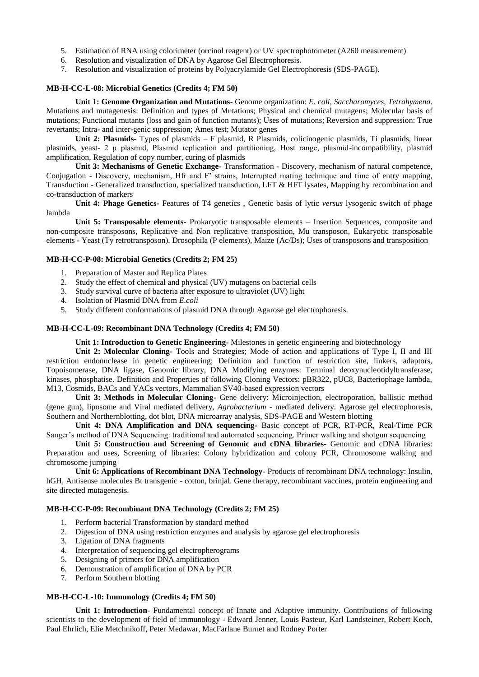- 5. Estimation of RNA using colorimeter (orcinol reagent) or UV spectrophotometer (A260 measurement)
- 6. Resolution and visualization of DNA by Agarose Gel Electrophoresis.
- 7. Resolution and visualization of proteins by Polyacrylamide Gel Electrophoresis (SDS-PAGE).

#### **MB-H-CC-L-08: Microbial Genetics (Credits 4; FM 50)**

**Unit 1: Genome Organization and Mutations-** Genome organization: *E. coli, Saccharomyces, Tetrahymena.*  Mutations and mutagenesis: Definition and types of Mutations; Physical and chemical mutagens; Molecular basis of mutations; Functional mutants (loss and gain of function mutants); Uses of mutations; Reversion and suppression: True revertants; Intra- and inter-genic suppression; Ames test; Mutator genes

Unit 2: Plasmids- Types of plasmids – F plasmid, R Plasmids, colicinogenic plasmids, Ti plasmids, linear plasmids, yeast- 2 μ plasmid, Plasmid replication and partitioning, Host range, plasmid-incompatibility, plasmid amplification, Regulation of copy number, curing of plasmids

**Unit 3: Mechanisms of Genetic Exchange-** Transformation - Discovery, mechanism of natural competence, Conjugation - Discovery, mechanism, Hfr and F' strains, Interrupted mating technique and time of entry mapping, Transduction - Generalized transduction, specialized transduction, LFT & HFT lysates, Mapping by recombination and co-transduction of markers

**Unit 4: Phage Genetics-** Features of T4 genetics , Genetic basis of lytic *versus* lysogenic switch of phage lambda

**Unit 5: Transposable elements-** Prokaryotic transposable elements – Insertion Sequences, composite and non-composite transposons, Replicative and Non replicative transposition, Mu transposon, Eukaryotic transposable elements - Yeast (Ty retrotransposon), Drosophila (P elements), Maize (Ac/Ds); Uses of transposons and transposition

#### **MB-H-CC-P-08: Microbial Genetics (Credits 2; FM 25)**

- 1. Preparation of Master and Replica Plates
- 2. Study the effect of chemical and physical (UV) mutagens on bacterial cells
- 3. Study survival curve of bacteria after exposure to ultraviolet (UV) light
- 4. Isolation of Plasmid DNA from *E.coli*
- 5. Study different conformations of plasmid DNA through Agarose gel electrophoresis.

#### **MB-H-CC-L-09: Recombinant DNA Technology (Credits 4; FM 50)**

**Unit 1: Introduction to Genetic Engineering-** Milestones in genetic engineering and biotechnology

**Unit 2: Molecular Cloning-** Tools and Strategies; Mode of action and applications of Type I, II and III restriction endonuclease in genetic engineering; Definition and function of restriction site, linkers, adaptors, Topoisomerase, DNA ligase, Genomic library, DNA Modifying enzymes: Terminal deoxynucleotidyltransferase, kinases, phosphatise. Definition and Properties of following Cloning Vectors: pBR322, pUC8, Bacteriophage lambda, M13, Cosmids, BACs and YACs vectors, Mammalian SV40-based expression vectors

**Unit 3: Methods in Molecular Cloning-** Gene delivery: Microinjection, electroporation, ballistic method (gene gun), liposome and Viral mediated delivery, *Agrobacterium* - mediated delivery. Agarose gel electrophoresis, Southern and Northernblotting, dot blot, DNA microarray analysis, SDS-PAGE and Western blotting

**Unit 4: DNA Amplification and DNA sequencing-** Basic concept of PCR, RT-PCR, Real-Time PCR Sanger's method of DNA Sequencing: traditional and automated sequencing. Primer walking and shotgun sequencing

**Unit 5: Construction and Screening of Genomic and cDNA libraries-** Genomic and cDNA libraries: Preparation and uses, Screening of libraries: Colony hybridization and colony PCR, Chromosome walking and chromosome jumping

**Unit 6: Applications of Recombinant DNA Technology-** Products of recombinant DNA technology: Insulin, hGH, Antisense molecules Bt transgenic - cotton, brinjal. Gene therapy, recombinant vaccines, protein engineering and site directed mutagenesis.

#### **MB-H-CC-P-09: Recombinant DNA Technology (Credits 2; FM 25)**

- 1. Perform bacterial Transformation by standard method
- 2. Digestion of DNA using restriction enzymes and analysis by agarose gel electrophoresis
- 3. Ligation of DNA fragments
- 4. Interpretation of sequencing gel electropherograms
- 5. Designing of primers for DNA amplification
- 6. Demonstration of amplification of DNA by PCR
- 7. Perform Southern blotting

#### **MB-H-CC-L-10: Immunology (Credits 4; FM 50)**

**Unit 1: Introduction-** Fundamental concept of Innate and Adaptive immunity. Contributions of following scientists to the development of field of immunology - Edward Jenner, Louis Pasteur, Karl Landsteiner, Robert Koch, Paul Ehrlich, Elie Metchnikoff, Peter Medawar, MacFarlane Burnet and Rodney Porter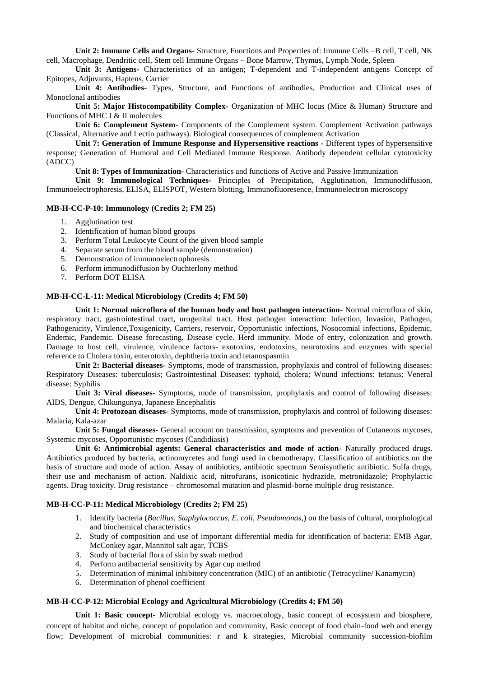**Unit 2: Immune Cells and Organs-** Structure, Functions and Properties of: Immune Cells –B cell, T cell, NK cell, Macrophage, Dendritic cell, Stem cell Immune Organs – Bone Marrow, Thymus, Lymph Node, Spleen

**Unit 3: Antigens-** Characteristics of an antigen; T-dependent and T-independent antigens Concept of Epitopes, Adjuvants, Haptens, Carrier

**Unit 4: Antibodies-** Types, Structure, and Functions of antibodies. Production and Clinical uses of Monoclonal antibodies

**Unit 5: Major Histocompatibility Complex-** Organization of MHC locus (Mice & Human) Structure and Functions of MHC I & II molecules

**Unit 6: Complement System-** Components of the Complement system. Complement Activation pathways (Classical, Alternative and Lectin pathways). Biological consequences of complement Activation

**Unit 7: Generation of Immune Response and Hypersensitive reactions -** Different types of hypersensitive response; Generation of Humoral and Cell Mediated Immune Response. Antibody dependent cellular cytotoxicity (ADCC)

**Unit 8: Types of Immunization-** Characteristics and functions of Active and Passive Immunization

**Unit 9: Immunological Techniques-** Principles of Precipitation, Agglutination, Immunodiffusion, Immunoelectrophoresis, ELISA, ELISPOT, Western blotting, Immunofluoresence, Immunoelectron microscopy

#### **MB-H-CC-P-10: Immunology (Credits 2; FM 25)**

- 1. Agglutination test
- 2. Identification of human blood groups
- 3. Perform Total Leukocyte Count of the given blood sample
- 4. Separate serum from the blood sample (demonstration)
- 5. Demonstration of immunoelectrophoresis
- 6. Perform immunodiffusion by Ouchterlony method
- 7. Perform DOT ELISA

#### **MB-H-CC-L-11: Medical Microbiology (Credits 4; FM 50)**

**Unit 1: Normal microflora of the human body and host pathogen interaction-** Normal microflora of skin, respiratory tract, gastrointestinal tract, urogenital tract. Host pathogen interaction: Infection, Invasion, Pathogen, Pathogenicity, Virulence,Toxigenicity, Carriers, reservoir, Opportunistic infections, Nosocomial infections, Epidemic, Endemic, Pandemic. Disease forecasting. Disease cycle. Herd immunity. Mode of entry, colonization and growth. Damage to host cell, virulence, virulence factors- exotoxins, endotoxins, neurotoxins and enzymes with special reference to Cholera toxin, enterotoxin, dephtheria toxin and tetanospasmin

**Unit 2: Bacterial diseases-** Symptoms, mode of transmission, prophylaxis and control of following diseases: Respiratory Diseases: tuberculosis; Gastrointestinal Diseases: typhoid, cholera; Wound infections: tetanus; Veneral disease: Syphilis

**Unit 3: Viral diseases-** Symptoms, mode of transmission, prophylaxis and control of following diseases: AIDS, Dengue, Chikungunya, Japanese Encephalitis

**Unit 4: Protozoan diseases-** Symptoms, mode of transmission, prophylaxis and control of following diseases: Malaria, Kala-azar

**Unit 5: Fungal diseases-** General account on transmission, symptoms and prevention of Cutaneous mycoses, Systemic mycoses, Opportunistic mycoses (Candidiasis)

**Unit 6: Antimicrobial agents: General characteristics and mode of action-** Naturally produced drugs. Antibiotics produced by bacteria, actinomycetes and fungi used in chemotherapy. Classification of antibiotics on the basis of structure and mode of action. Assay of antibiotics, antibiotic spectrum Semisynthetic antibiotic. Sulfa drugs, their use and mechanism of action. Naldixic acid, nitrofurans, isonicotinic hydrazide, metronidazole; Prophylactic agents. Drug toxicity. Drug resistance – chromosomal mutation and plasmid-borne multiple drug resistance.

#### **MB-H-CC-P-11: Medical Microbiology (Credits 2; FM 25)**

- 1. Identify bacteria (*Bacillus, Staphylococcus, E. coli, Pseudomonas,*) on the basis of cultural, morphological and biochemical characteristics
- 2. Study of composition and use of important differential media for identification of bacteria: EMB Agar, McConkey agar, Mannitol salt agar, TCBS
- 3. Study of bacterial flora of skin by swab method
- 4. Perform antibacterial sensitivity by Agar cup method
- 5. Determination of minimal inhibitory concentration (MIC) of an antibiotic (Tetracycline/ Kanamycin)
- 6. Determination of phenol coefficient

#### **MB-H-CC-P-12: Microbial Ecology and Agricultural Microbiology (Credits 4; FM 50)**

**Unit 1: Basic concept-** Microbial ecology vs. macroecology, basic concept of ecosystem and biosphere, concept of habitat and niche, concept of population and community, Basic concept of food chain-food web and energy flow; Development of microbial communities: r and k strategies, Microbial community succession-biofilm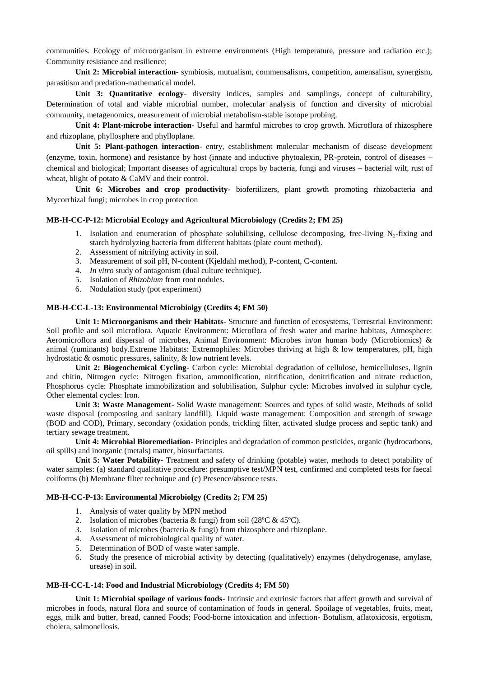communities. Ecology of microorganism in extreme environments (High temperature, pressure and radiation etc.); Community resistance and resilience;

**Unit 2: Microbial interaction**- symbiosis, mutualism, commensalisms, competition, amensalism, synergism, parasitism and predation-mathematical model.

**Unit 3: Quantitative ecology**- diversity indices, samples and samplings, concept of culturability, Determination of total and viable microbial number, molecular analysis of function and diversity of microbial community, metagenomics, measurement of microbial metabolism-stable isotope probing.

**Unit 4: Plant-microbe interaction**- Useful and harmful microbes to crop growth. Microflora of rhizosphere and rhizoplane, phyllosphere and phylloplane.

**Unit 5: Plant-pathogen interaction**- entry, establishment molecular mechanism of disease development (enzyme, toxin, hormone) and resistance by host (innate and inductive phytoalexin, PR-protein, control of diseases – chemical and biological; Important diseases of agricultural crops by bacteria, fungi and viruses – bacterial wilt, rust of wheat, blight of potato & CaMV and their control.

**Unit 6: Microbes and crop productivity**- biofertilizers, plant growth promoting rhizobacteria and Mycorrhizal fungi; microbes in crop protection

#### **MB-H-CC-P-12: Microbial Ecology and Agricultural Microbiology (Credits 2; FM 25)**

- 1. Isolation and enumeration of phosphate solubilising, cellulose decomposing, free-living  $N<sub>2</sub>$ -fixing and starch hydrolyzing bacteria from different habitats (plate count method).
- 2. Assessment of nitrifying activity in soil.
- 3. Measurement of soil pH, N-content (Kjeldahl method), P-content, C-content.
- 4. *In vitro* study of antagonism (dual culture technique).
- 5. Isolation of *Rhizobium* from root nodules.
- 6. Nodulation study (pot experiment)

#### **MB-H-CC-L-13: Environmental Microbiolgy (Credits 4; FM 50)**

**Unit 1: Microorganisms and their Habitats-** Structure and function of ecosystems, Terrestrial Environment: Soil profile and soil microflora. Aquatic Environment: Microflora of fresh water and marine habitats, Atmosphere: Aeromicroflora and dispersal of microbes, Animal Environment: Microbes in/on human body (Microbiomics) & animal (ruminants) body.Extreme Habitats: Extremophiles: Microbes thriving at high & low temperatures, pH, high hydrostatic & osmotic pressures, salinity, & low nutrient levels.

**Unit 2: Biogeochemical Cycling-** Carbon cycle: Microbial degradation of cellulose, hemicelluloses, lignin and chitin, Nitrogen cycle: Nitrogen fixation, ammonification, nitrification, denitrification and nitrate reduction, Phosphorus cycle: Phosphate immobilization and solubilisation, Sulphur cycle: Microbes involved in sulphur cycle, Other elemental cycles: Iron.

**Unit 3: Waste Management-** Solid Waste management: Sources and types of solid waste, Methods of solid waste disposal (composting and sanitary landfill). Liquid waste management: Composition and strength of sewage (BOD and COD), Primary, secondary (oxidation ponds, trickling filter, activated sludge process and septic tank) and tertiary sewage treatment.

**Unit 4: Microbial Bioremediation-** Principles and degradation of common pesticides, organic (hydrocarbons, oil spills) and inorganic (metals) matter, biosurfactants.

**Unit 5: Water Potability-** Treatment and safety of drinking (potable) water, methods to detect potability of water samples: (a) standard qualitative procedure: presumptive test/MPN test, confirmed and completed tests for faecal coliforms (b) Membrane filter technique and (c) Presence/absence tests.

### **MB-H-CC-P-13: Environmental Microbiolgy (Credits 2; FM 25)**

- 1. Analysis of water quality by MPN method
- 2. Isolation of microbes (bacteria & fungi) from soil (28ºC & 45ºC).
- 3. Isolation of microbes (bacteria & fungi) from rhizosphere and rhizoplane.
- 4. Assessment of microbiological quality of water.
- 5. Determination of BOD of waste water sample.
- 6. Study the presence of microbial activity by detecting (qualitatively) enzymes (dehydrogenase, amylase, urease) in soil.

## **MB-H-CC-L-14: Food and Industrial Microbiology (Credits 4; FM 50)**

**Unit 1: Microbial spoilage of various foods-** Intrinsic and extrinsic factors that affect growth and survival of microbes in foods, natural flora and source of contamination of foods in general. Spoilage of vegetables, fruits, meat, eggs, milk and butter, bread, canned Foods; Food-borne intoxication and infection- Botulism, aflatoxicosis, ergotism, cholera, salmonellosis.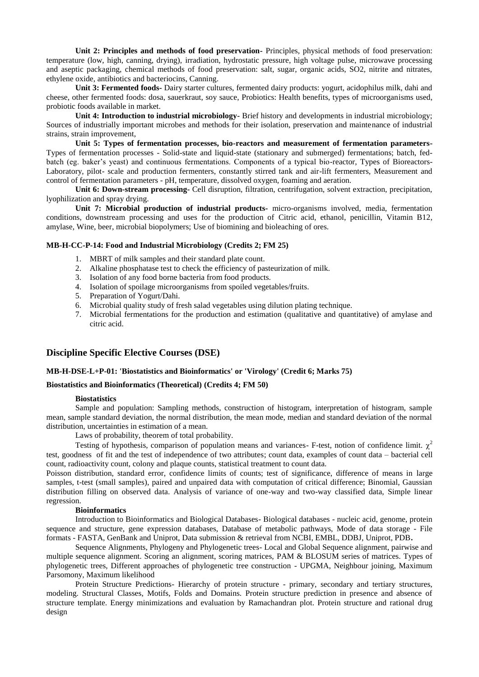**Unit 2: Principles and methods of food preservation-** Principles, physical methods of food preservation: temperature (low, high, canning, drying), irradiation, hydrostatic pressure, high voltage pulse, microwave processing and aseptic packaging, chemical methods of food preservation: salt, sugar, organic acids, SO2, nitrite and nitrates, ethylene oxide, antibiotics and bacteriocins, Canning.

**Unit 3: Fermented foods-** Dairy starter cultures, fermented dairy products: yogurt, acidophilus milk, dahi and cheese, other fermented foods: dosa, sauerkraut, soy sauce, Probiotics: Health benefits, types of microorganisms used, probiotic foods available in market.

**Unit 4: Introduction to industrial microbiology-** Brief history and developments in industrial microbiology; Sources of industrially important microbes and methods for their isolation, preservation and maintenance of industrial strains, strain improvement,

**Unit 5: Types of fermentation processes, bio-reactors and measurement of fermentation parameters-**Types of fermentation processes - Solid-state and liquid-state (stationary and submerged) fermentations; batch, fedbatch (eg. baker's yeast) and continuous fermentations. Components of a typical bio-reactor, Types of Bioreactors-Laboratory, pilot- scale and production fermenters, constantly stirred tank and air-lift fermenters, Measurement and control of fermentation parameters - pH, temperature, dissolved oxygen, foaming and aeration.

**Unit 6: Down-stream processing-** Cell disruption, filtration, centrifugation, solvent extraction, precipitation, lyophilization and spray drying.

**Unit 7: Microbial production of industrial products-** micro-organisms involved, media, fermentation conditions, downstream processing and uses for the production of Citric acid, ethanol, penicillin, Vitamin B12, amylase, Wine, beer, microbial biopolymers; Use of biomining and bioleaching of ores.

#### **MB-H-CC-P-14: Food and Industrial Microbiology (Credits 2; FM 25)**

- 1. MBRT of milk samples and their standard plate count.
- 2. Alkaline phosphatase test to check the efficiency of pasteurization of milk.
- 3. Isolation of any food borne bacteria from food products.
- 4. Isolation of spoilage microorganisms from spoiled vegetables/fruits.
- 5. Preparation of Yogurt/Dahi.
- 6. Microbial quality study of fresh salad vegetables using dilution plating technique.
- 7. Microbial fermentations for the production and estimation (qualitative and quantitative) of amylase and citric acid.

### **Discipline Specific Elective Courses (DSE)**

#### **MB-H-DSE-L+P-01: 'Biostatistics and Bioinformatics' or 'Virology' (Credit 6; Marks 75)**

## **Biostatistics and Bioinformatics (Theoretical) (Credits 4; FM 50)**

#### **Biostatistics**

Sample and population: Sampling methods, construction of histogram, interpretation of histogram, sample mean, sample standard deviation, the normal distribution, the mean mode, median and standard deviation of the normal distribution, uncertainties in estimation of a mean.

Laws of probability, theorem of total probability.

Testing of hypothesis, comparison of population means and variances- F-test, notion of confidence limit.  $\chi^2$ test, goodness of fit and the test of independence of two attributes; count data, examples of count data – bacterial cell count, radioactivity count, colony and plaque counts, statistical treatment to count data.

Poisson distribution, standard error, confidence limits of counts; test of significance, difference of means in large samples, t-test (small samples), paired and unpaired data with computation of critical difference; Binomial, Gaussian distribution filling on observed data. Analysis of variance of one-way and two-way classified data, Simple linear regression.

### **Bioinformatics**

Introduction to Bioinformatics and Biological Databases- Biological databases - nucleic acid, genome, protein sequence and structure, gene expression databases, Database of metabolic pathways, Mode of data storage - File formats - FASTA, GenBank and Uniprot, Data submission & retrieval from NCBI, EMBL, DDBJ, Uniprot, PDB**.** 

Sequence Alignments, Phylogeny and Phylogenetic trees- Local and Global Sequence alignment, pairwise and multiple sequence alignment. Scoring an alignment, scoring matrices, PAM & BLOSUM series of matrices. Types of phylogenetic trees, Different approaches of phylogenetic tree construction - UPGMA, Neighbour joining, Maximum Parsomony, Maximum likelihood

Protein Structure Predictions- Hierarchy of protein structure - primary, secondary and tertiary structures, modeling. Structural Classes, Motifs, Folds and Domains. Protein structure prediction in presence and absence of structure template. Energy minimizations and evaluation by Ramachandran plot. Protein structure and rational drug design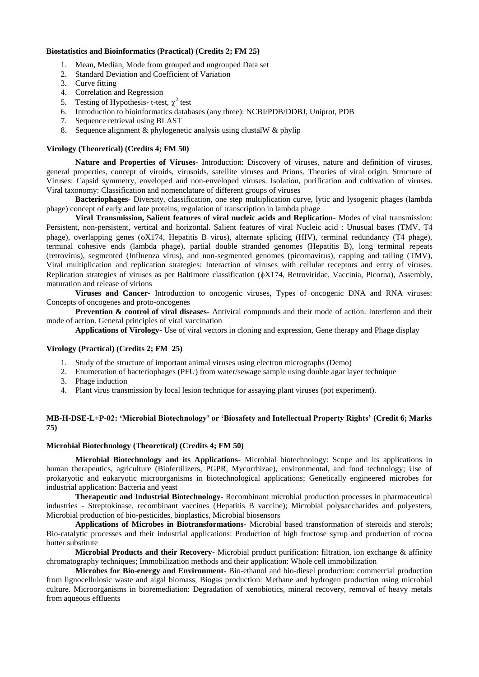#### **Biostatistics and Bioinformatics (Practical) (Credits 2; FM 25)**

- 1. Mean, Median, Mode from grouped and ungrouped Data set
- 2. Standard Deviation and Coefficient of Variation
- 3. Curve fitting
- 4. Correlation and Regression
- 5. Testing of Hypothesis- t-test,  $\chi^2$  test
- 6. Introduction to bioinformatics databases (any three): NCBI/PDB/DDBJ, Uniprot, PDB
- Sequence retrieval using BLAST
- 8. Sequence alignment  $\&$  phylogenetic analysis using clustalW  $\&$  phylip

#### **Virology (Theoretical) (Credits 4; FM 50)**

**Nature and Properties of Viruses-** Introduction: Discovery of viruses, nature and definition of viruses, general properties, concept of viroids, virusoids, satellite viruses and Prions. Theories of viral origin. Structure of Viruses: Capsid symmetry, enveloped and non-enveloped viruses. Isolation, purification and cultivation of viruses. Viral taxonomy: Classification and nomenclature of different groups of viruses

**Bacteriophages-** Diversity, classification, one step multiplication curve, lytic and lysogenic phages (lambda phage) concept of early and late proteins, regulation of transcription in lambda phage

**Viral Transmission, Salient features of viral nucleic acids and Replication-** Modes of viral transmission: Persistent, non-persistent, vertical and horizontal. Salient features of viral Nucleic acid : Unusual bases (TMV, T4 phage), overlapping genes (X174, Hepatitis B virus), alternate splicing (HIV), terminal redundancy (T4 phage), terminal cohesive ends (lambda phage), partial double stranded genomes (Hepatitis B), long terminal repeats (retrovirus), segmented (Influenza virus), and non-segmented genomes (picornavirus), capping and tailing (TMV), Viral multiplication and replication strategies: Interaction of viruses with cellular receptors and entry of viruses. Replication strategies of viruses as per Baltimore classification  $(\phi X174,$  Retroviridae, Vaccinia, Picorna), Assembly, maturation and release of virions

**Viruses and Cancer-** Introduction to oncogenic viruses, Types of oncogenic DNA and RNA viruses: Concepts of oncogenes and proto-oncogenes

**Prevention & control of viral diseases-** Antiviral compounds and their mode of action. Interferon and their mode of action. General principles of viral vaccination

**Applications of Virology-** Use of viral vectors in cloning and expression, Gene therapy and Phage display

#### **Virology (Practical) (Credits 2; FM 25)**

- 1. Study of the structure of important animal viruses using electron micrographs (Demo)
- 2. Enumeration of bacteriophages (PFU) from water/sewage sample using double agar layer technique
- 3. Phage induction
- 4. Plant virus transmission by local lesion technique for assaying plant viruses (pot experiment).

#### **MB-H-DSE-L+P-02: 'Microbial Biotechnology' or 'Biosafety and Intellectual Property Rights' (Credit 6; Marks 75)**

#### **Microbial Biotechnology (Theoretical) (Credits 4; FM 50)**

**Microbial Biotechnology and its Applications-** Microbial biotechnology: Scope and its applications in human therapeutics, agriculture (Biofertilizers, PGPR, Mycorrhizae), environmental, and food technology; Use of prokaryotic and eukaryotic microorganisms in biotechnological applications; Genetically engineered microbes for industrial application: Bacteria and yeast

**Therapeutic and Industrial Biotechnology-** Recombinant microbial production processes in pharmaceutical industries - Streptokinase, recombinant vaccines (Hepatitis B vaccine); Microbial polysaccharides and polyesters, Microbial production of bio-pesticides, bioplastics, Microbial biosensors

**Applications of Microbes in Biotransformations-** Microbial based transformation of steroids and sterols; Bio-catalytic processes and their industrial applications: Production of high fructose syrup and production of cocoa butter substitute

**Microbial Products and their Recovery-** Microbial product purification: filtration, ion exchange & affinity chromatography techniques; Immobilization methods and their application: Whole cell immobilization

**Microbes for Bio-energy and Environment-** Bio-ethanol and bio-diesel production: commercial production from lignocellulosic waste and algal biomass, Biogas production: Methane and hydrogen production using microbial culture. Microorganisms in bioremediation: Degradation of xenobiotics, mineral recovery, removal of heavy metals from aqueous effluents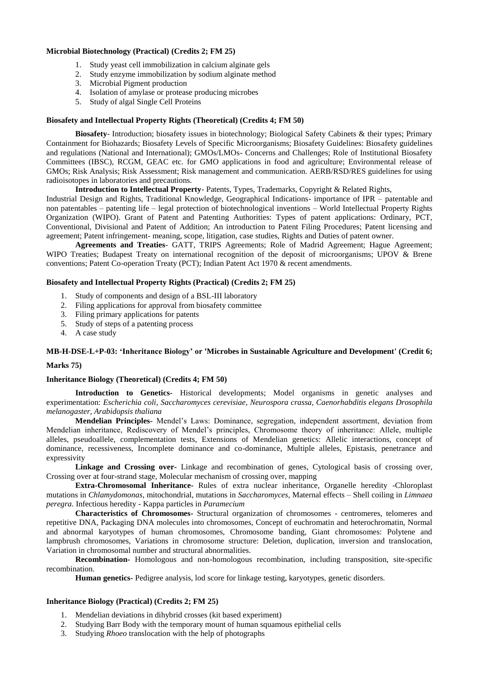#### **Microbial Biotechnology (Practical) (Credits 2; FM 25)**

- 1. Study yeast cell immobilization in calcium alginate gels
- 2. Study enzyme immobilization by sodium alginate method
- 3. Microbial Pigment production
- 4. Isolation of amylase or protease producing microbes
- 5. Study of algal Single Cell Proteins

#### **Biosafety and Intellectual Property Rights (Theoretical) (Credits 4; FM 50)**

**Biosafety**- Introduction; biosafety issues in biotechnology; Biological Safety Cabinets & their types; Primary Containment for Biohazards; Biosafety Levels of Specific Microorganisms; Biosafety Guidelines: Biosafety guidelines and regulations (National and International); GMOs/LMOs- Concerns and Challenges; Role of Institutional Biosafety Committees (IBSC), RCGM, GEAC etc. for GMO applications in food and agriculture; Environmental release of GMOs; Risk Analysis; Risk Assessment; Risk management and communication. AERB/RSD/RES guidelines for using radioisotopes in laboratories and precautions.

## **Introduction to Intellectual Property**- Patents, Types, Trademarks, Copyright & Related Rights,

Industrial Design and Rights, Traditional Knowledge, Geographical Indications- importance of IPR – patentable and non patentables – patenting life – legal protection of biotechnological inventions – World Intellectual Property Rights Organization (WIPO). Grant of Patent and Patenting Authorities: Types of patent applications: Ordinary, PCT, Conventional, Divisional and Patent of Addition; An introduction to Patent Filing Procedures; Patent licensing and agreement; Patent infringement- meaning, scope, litigation, case studies, Rights and Duties of patent owner.

**Agreements and Treaties**- GATT, TRIPS Agreements; Role of Madrid Agreement; Hague Agreement; WIPO Treaties; Budapest Treaty on international recognition of the deposit of microorganisms; UPOV & Brene conventions; Patent Co-operation Treaty (PCT); Indian Patent Act 1970 & recent amendments.

#### **Biosafety and Intellectual Property Rights (Practical) (Credits 2; FM 25)**

- 1. Study of components and design of a BSL-III laboratory
- 2. Filing applications for approval from biosafety committee
- 3. Filing primary applications for patents
- 5. Study of steps of a patenting process
- 4. A case study

### **MB-H-DSE-L+P-03: 'Inheritance Biology' or 'Microbes in Sustainable Agriculture and Development' (Credit 6;**

#### **Marks 75)**

### **Inheritance Biology (Theoretical) (Credits 4; FM 50)**

**Introduction to Genetics-** Historical developments; Model organisms in genetic analyses and experimentation: *Escherichia coli*, *Saccharomyces cerevisiae, Neurospora crassa, Caenorhabditis elegans Drosophila melanogaster, Arabidopsis thaliana*

**Mendelian Principles-** Mendel's Laws: Dominance, segregation, independent assortment, deviation from Mendelian inheritance, Rediscovery of Mendel's principles, Chromosome theory of inheritance: Allele, multiple alleles, pseudoallele, complementation tests, Extensions of Mendelian genetics: Allelic interactions, concept of dominance, recessiveness, Incomplete dominance and co-dominance, Multiple alleles, Epistasis, penetrance and expressivity

**Linkage and Crossing over-** Linkage and recombination of genes, Cytological basis of crossing over, Crossing over at four-strand stage, Molecular mechanism of crossing over, mapping

**Extra-Chromosomal Inheritance-** Rules of extra nuclear inheritance, Organelle heredity -Chloroplast mutations in *Chlamydomonas*, mitochondrial, mutations in *Saccharomyces,* Maternal effects *–* Shell coiling in *Limnaea peregra.* Infectious heredity - Kappa particles in *Paramecium*

**Characteristics of Chromosomes-** Structural organization of chromosomes - centromeres, telomeres and repetitive DNA, Packaging DNA molecules into chromosomes, Concept of euchromatin and heterochromatin, Normal and abnormal karyotypes of human chromosomes, Chromosome banding, Giant chromosomes: Polytene and lampbrush chromosomes, Variations in chromosome structure: Deletion, duplication, inversion and translocation, Variation in chromosomal number and structural abnormalities.

**Recombination-** Homologous and non-homologous recombination, including transposition, site-specific recombination.

**Human genetics-** Pedigree analysis, lod score for linkage testing, karyotypes, genetic disorders.

#### **Inheritance Biology (Practical) (Credits 2; FM 25)**

- 1. Mendelian deviations in dihybrid crosses (kit based experiment)
- 2. Studying Barr Body with the temporary mount of human squamous epithelial cells
- 3. Studying *Rhoeo* translocation with the help of photographs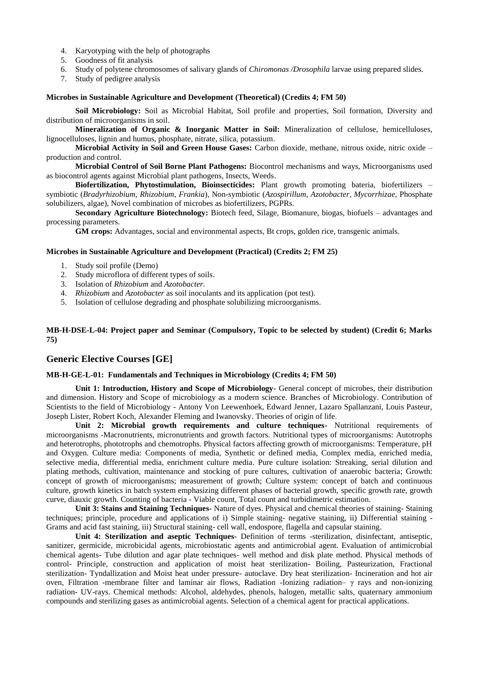- 4. Karyotyping with the help of photographs
- 5. Goodness of fit analysis
- 6. Study of polytene chromosomes of salivary glands of *Chiromonas /Drosophila* larvae using prepared slides.
- 7. Study of pedigree analysis

#### **Microbes in Sustainable Agriculture and Development (Theoretical) (Credits 4; FM 50)**

**Soil Microbiology:** Soil as Microbial Habitat, Soil profile and properties, Soil formation, Diversity and distribution of microorganisms in soil.

**Mineralization of Organic & Inorganic Matter in Soil:** Mineralization of cellulose, hemicelluloses, lignocelluloses, lignin and humus, phosphate, nitrate, silica, potassium.

**Microbial Activity in Soil and Green House Gases:** Carbon dioxide, methane, nitrous oxide, nitric oxide – production and control.

**Microbial Control of Soil Borne Plant Pathogens:** Biocontrol mechanisms and ways, Microorganisms used as biocontrol agents against Microbial plant pathogens, Insects, Weeds.

**Biofertilization, Phytostimulation, Bioinsecticides:** Plant growth promoting bateria, biofertilizers – symbiotic (*Bradyrhizobium*, *Rhizobium*, *Frankia*), Non-symbiotic (*Azospirillum*, *Azotobacter*, *Mycorrhizae*, Phosphate solubilizers, algae), Novel combination of microbes as biofertilizers, PGPRs.

**Secondary Agriculture Biotechnology:** Biotech feed, Silage, Biomanure, biogas, biofuels – advantages and processing parameters.

**GM crops:** Advantages, social and environmental aspects, Bt crops, golden rice, transgenic animals.

#### **Microbes in Sustainable Agriculture and Development (Practical) (Credits 2; FM 25)**

- 1. Study soil profile (Demo)
- 2. Study microflora of different types of soils.<br>3. Isolation of *Rhizobium* and *Azotobacter*.
- 3. Isolation of *Rhizobium* and *Azotobacter.*
- 4. *Rhizobium* and *Azotobacter* as soil inoculants and its application (pot test).
- 5. Isolation of cellulose degrading and phosphate solubilizing microorganisms.

### **MB-H-DSE-L-04: Project paper and Seminar (Compulsory, Topic to be selected by student) (Credit 6; Marks 75)**

### **Generic Elective Courses [GE]**

#### **MB-H-GE-L-01: Fundamentals and Techniques in Microbiology (Credits 4; FM 50)**

**Unit 1: Introduction, History and Scope of Microbiology-** General concept of microbes, their distribution and dimension. History and Scope of microbiology as a modern science. Branches of Microbiology. Contribution of Scientists to the field of Microbiology - Antony Von Leewenhoek, Edward Jenner, Lazaro Spallanzani, Louis Pasteur, Joseph Lister, Robert Koch, Alexander Fleming and Iwanovsky. Theories of origin of life.

**Unit 2: Microbial growth requirements and culture techniques-** Nutritional requirements of microorganisms -Macronutrients, micronutrients and growth factors. Nutritional types of microorganisms: Autotrophs and heterotrophs, phototrophs and chemotrophs. Physical factors affecting growth of microorganisms: Temperature, pH and Oxygen. Culture media: Components of media, Synthetic or defined media, Complex media, enriched media, selective media, differential media, enrichment culture media. Pure culture isolation: Streaking, serial dilution and plating methods, cultivation, maintenance and stocking of pure cultures, cultivation of anaerobic bacteria; Growth: concept of growth of microorganisms; measurement of growth; Culture system: concept of batch and continuous culture, growth kinetics in batch system emphasizing different phases of bacterial growth, specific growth rate, growth curve, diauxic growth. Counting of bacteria - Viable count, Total count and turbidimetric estimation.

**Unit 3: Stains and Staining Techniques-** Nature of dyes. Physical and chemical theories of staining- Staining techniques; principle, procedure and applications of i) Simple staining- negative staining, ii) Differential staining - Grams and acid fast staining, iii) Structural staining- cell wall, endospore, flagella and capsular staining.

**Unit 4: Sterilization and aseptic Techniques-** Definition of terms -sterilization, disinfectant, antiseptic, sanitizer, germicide, microbicidal agents, microbiostatic agents and antimicrobial agent. Evaluation of antimicrobial chemical agents- Tube dilution and agar plate techniques- well method and disk plate method. Physical methods of control- Principle, construction and application of moist heat sterilization- Boiling, Pasteurization, Fractional sterilization- Tyndallization and Moist heat under pressure- autoclave. Dry heat sterilization- Incineration and hot air oven, Filtration -membrane filter and laminar air flows, Radiation -Ionizing radiation– γ rays and non-ionizing radiation- UV-rays. Chemical methods: Alcohol, aldehydes, phenols, halogen, metallic salts, quaternary ammonium compounds and sterilizing gases as antimicrobial agents. Selection of a chemical agent for practical applications.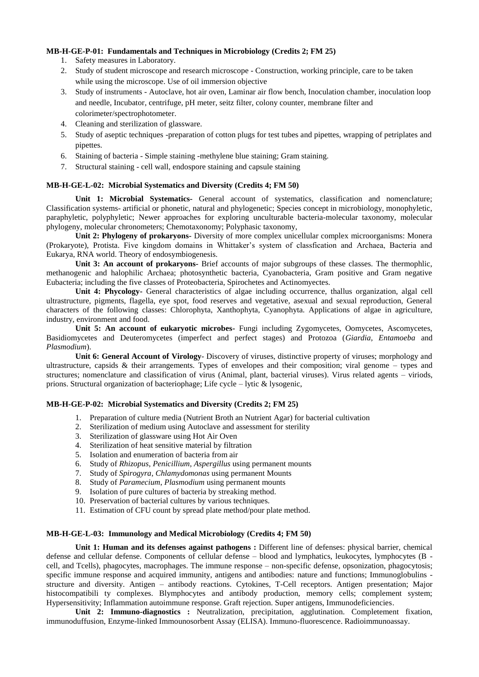#### **MB-H-GE-P-01: Fundamentals and Techniques in Microbiology (Credits 2; FM 25)**

- 1. Safety measures in Laboratory.
- 2. Study of student microscope and research microscope Construction, working principle, care to be taken while using the microscope. Use of oil immersion objective
- 3. Study of instruments Autoclave, hot air oven, Laminar air flow bench, Inoculation chamber, inoculation loop and needle, Incubator, centrifuge, pH meter, seitz filter, colony counter, membrane filter and colorimeter/spectrophotometer.
- 4. Cleaning and sterilization of glassware.
- 5. Study of aseptic techniques -preparation of cotton plugs for test tubes and pipettes, wrapping of petriplates and pipettes.
- 6. Staining of bacteria Simple staining -methylene blue staining; Gram staining.
- 7. Structural staining cell wall, endospore staining and capsule staining

### **MB-H-GE-L-02: Microbial Systematics and Diversity (Credits 4; FM 50)**

**Unit 1: Microbial Systematics-** General account of systematics, classification and nomenclature; Classification systems- artificial or phonetic, natural and phylogenetic; Species concept in microbiology, monophyletic, paraphyletic, polyphyletic; Newer approaches for exploring unculturable bacteria-molecular taxonomy, molecular phylogeny, molecular chronometers; Chemotaxonomy; Polyphasic taxonomy,

**Unit 2: Phylogeny of prokaryons-** Diversity of more complex unicellular complex microorganisms: Monera (Prokaryote), Protista. Five kingdom domains in Whittaker's system of classfication and Archaea, Bacteria and Eukarya, RNA world. Theory of endosymbiogenesis.

**Unit 3: An account of prokaryons-** Brief accounts of major subgroups of these classes. The thermophlic, methanogenic and halophilic Archaea; photosynthetic bacteria, Cyanobacteria, Gram positive and Gram negative Eubacteria; including the five classes of Proteobacteria, Spirochetes and Actinomyectes.

**Unit 4: Phycology-** General characteristics of algae including occurrence, thallus organization, algal cell ultrastructure, pigments, flagella, eye spot, food reserves and vegetative, asexual and sexual reproduction, General characters of the following classes: Chlorophyta, Xanthophyta, Cyanophyta. Applications of algae in agriculture, industry, environment and food.

Unit 5: An account of eukaryotic microbes- Fungi including Zygomycetes, Oomycetes, Ascomycetes, Basidiomycetes and Deuteromycetes (imperfect and perfect stages) and Protozoa (*Giardia*, *Entamoeba* and *Plasmodium*).

**Unit 6: General Account of Virology**- Discovery of viruses, distinctive property of viruses; morphology and ultrastructure, capsids & their arrangements. Types of envelopes and their composition; viral genome – types and structures; nomenclature and classification of virus (Animal, plant, bacterial viruses). Virus related agents – viriods, prions. Structural organization of bacteriophage; Life cycle – lytic & lysogenic,

### **MB-H-GE-P-02: Microbial Systematics and Diversity (Credits 2; FM 25)**

- 1. Preparation of culture media (Nutrient Broth an Nutrient Agar) for bacterial cultivation
- 2. Sterilization of medium using Autoclave and assessment for sterility
- 3. Sterilization of glassware using Hot Air Oven
- 4. Sterilization of heat sensitive material by filtration
- 5. Isolation and enumeration of bacteria from air
- 6. Study of *Rhizopus*, *Penicillium*, *Aspergillus* using permanent mounts
- 7. Study of *Spirogyra*, *Chlamydomonas* using permanent Mounts
- 8. Study of *Paramecium*, *Plasmodium* using permanent mounts
- 9. Isolation of pure cultures of bacteria by streaking method.
- 10. Preservation of bacterial cultures by various techniques.
- 11. Estimation of CFU count by spread plate method/pour plate method.

### **MB-H-GE-L-03: Immunology and Medical Microbiology (Credits 4; FM 50)**

**Unit 1: Human and its defenses against pathogens :** Different line of defenses: physical barrier, chemical defense and cellular defense. Components of cellular defense – blood and lymphatics, leukocytes, lymphocytes (B cell, and Tcells), phagocytes, macrophages. The immune response – non-specific defense, opsonization, phagocytosis; specific immune response and acquired immunity, antigens and antibodies: nature and functions; Immunoglobulins structure and diversity. Antigen – antibody reactions. Cytokines, T-Cell receptors. Antigen presentation; Major histocompatibili ty complexes. Blymphocytes and antibody production, memory cells; complement system; Hypersensitivity; Inflammation autoimmune response. Graft rejection. Super antigens, Immunodeficiencies.

**Unit 2: Immuno-diagnostics :** Neutralization, precipitation, agglutination. Completement fixation, immunoduffusion, Enzyme-linked Immounosorbent Assay (ELISA). Immuno-fluorescence. Radioimmunoassay.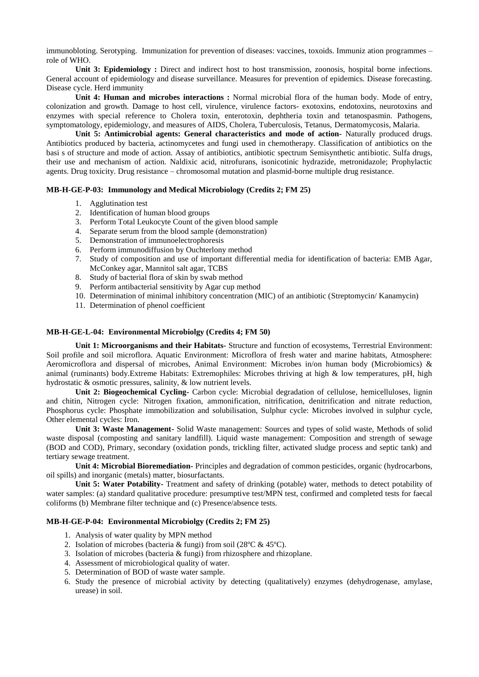immunobloting. Serotyping. Immunization for prevention of diseases: vaccines, toxoids. Immuniz ation programmes – role of WHO.

**Unit 3: Epidemiology :** Direct and indirect host to host transmission, zoonosis, hospital borne infections. General account of epidemiology and disease surveillance. Measures for prevention of epidemics. Disease forecasting. Disease cycle. Herd immunity

**Unit 4: Human and microbes interactions :** Normal microbial flora of the human body. Mode of entry, colonization and growth. Damage to host cell, virulence, virulence factors- exotoxins, endotoxins, neurotoxins and enzymes with special reference to Cholera toxin, enterotoxin, dephtheria toxin and tetanospasmin. Pathogens, symptomatology, epidemiology, and measures of AIDS, Cholera, Tuberculosis, Tetanus, Dermatomycosis, Malaria.

**Unit 5: Antimicrobial agents: General characteristics and mode of action-** Naturally produced drugs. Antibiotics produced by bacteria, actinomycetes and fungi used in chemotherapy. Classification of antibiotics on the basi s of structure and mode of action. Assay of antibiotics, antibiotic spectrum Semisynthetic antibiotic. Sulfa drugs, their use and mechanism of action. Naldixic acid, nitrofurans, isonicotinic hydrazide, metronidazole; Prophylactic agents. Drug toxicity. Drug resistance – chromosomal mutation and plasmid-borne multiple drug resistance.

#### **MB-H-GE-P-03: Immunology and Medical Microbiology (Credits 2; FM 25)**

- 1. Agglutination test
- 2. Identification of human blood groups
- 3. Perform Total Leukocyte Count of the given blood sample
- 4. Separate serum from the blood sample (demonstration)
- 5. Demonstration of immunoelectrophoresis
- 6. Perform immunodiffusion by Ouchterlony method
- 7. Study of composition and use of important differential media for identification of bacteria: EMB Agar, McConkey agar, Mannitol salt agar, TCBS
- 8. Study of bacterial flora of skin by swab method
- 9. Perform antibacterial sensitivity by Agar cup method
- 10. Determination of minimal inhibitory concentration (MIC) of an antibiotic (Streptomycin/ Kanamycin)
- 11. Determination of phenol coefficient

#### **MB-H-GE-L-04: Environmental Microbiolgy (Credits 4; FM 50)**

**Unit 1: Microorganisms and their Habitats-** Structure and function of ecosystems, Terrestrial Environment: Soil profile and soil microflora. Aquatic Environment: Microflora of fresh water and marine habitats, Atmosphere: Aeromicroflora and dispersal of microbes, Animal Environment: Microbes in/on human body (Microbiomics) & animal (ruminants) body.Extreme Habitats: Extremophiles: Microbes thriving at high & low temperatures, pH, high hydrostatic & osmotic pressures, salinity, & low nutrient levels.

**Unit 2: Biogeochemical Cycling-** Carbon cycle: Microbial degradation of cellulose, hemicelluloses, lignin and chitin, Nitrogen cycle: Nitrogen fixation, ammonification, nitrification, denitrification and nitrate reduction, Phosphorus cycle: Phosphate immobilization and solubilisation, Sulphur cycle: Microbes involved in sulphur cycle, Other elemental cycles: Iron.

**Unit 3: Waste Management-** Solid Waste management: Sources and types of solid waste, Methods of solid waste disposal (composting and sanitary landfill). Liquid waste management: Composition and strength of sewage (BOD and COD), Primary, secondary (oxidation ponds, trickling filter, activated sludge process and septic tank) and tertiary sewage treatment.

**Unit 4: Microbial Bioremediation-** Principles and degradation of common pesticides, organic (hydrocarbons, oil spills) and inorganic (metals) matter, biosurfactants.

**Unit 5: Water Potability-** Treatment and safety of drinking (potable) water, methods to detect potability of water samples: (a) standard qualitative procedure: presumptive test/MPN test, confirmed and completed tests for faecal coliforms (b) Membrane filter technique and (c) Presence/absence tests.

## **MB-H-GE-P-04: Environmental Microbiolgy (Credits 2; FM 25)**

- 1. Analysis of water quality by MPN method
- 2. Isolation of microbes (bacteria & fungi) from soil (28ºC & 45ºC).
- 3. Isolation of microbes (bacteria & fungi) from rhizosphere and rhizoplane.
- 4. Assessment of microbiological quality of water.
- 5. Determination of BOD of waste water sample.
- 6. Study the presence of microbial activity by detecting (qualitatively) enzymes (dehydrogenase, amylase, urease) in soil.